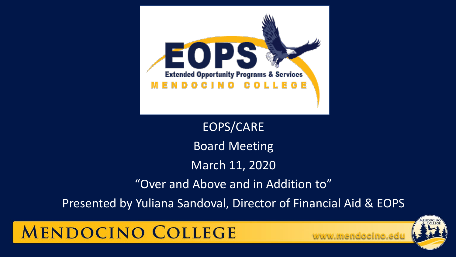

EOPS/CARE Board Meeting March 11, 2020 "Over and Above and in Addition to"

Presented by Yuliana Sandoval, Director of Financial Aid & EOPS

**MENDOCINO COLLEGE** 

www.mendocino.edu

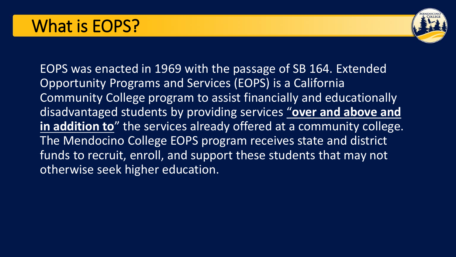

EOPS was enacted in 1969 with the passage of SB 164. Extended Opportunity Programs and Services (EOPS) is a California Community College program to assist financially and educationally disadvantaged students by providing services "**over and above and in addition to**" the services already offered at a community college. The Mendocino College EOPS program receives state and district funds to recruit, enroll, and support these students that may not otherwise seek higher education.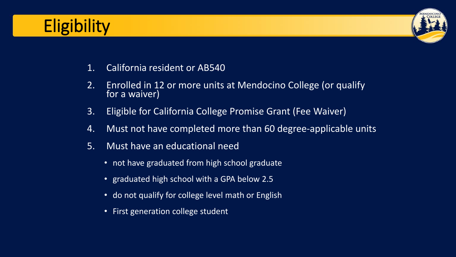### **Eligibility**



- 1. California resident or AB540
- 2. Enrolled in 12 or more units at Mendocino College (or qualify for a waiver)
- 3. Eligible for California College Promise Grant (Fee Waiver)
- 4. Must not have completed more than 60 degree-applicable units
- 5. Must have an educational need
	- not have graduated from high school graduate
	- graduated high school with a GPA below 2.5
	- do not qualify for college level math or English
	- First generation college student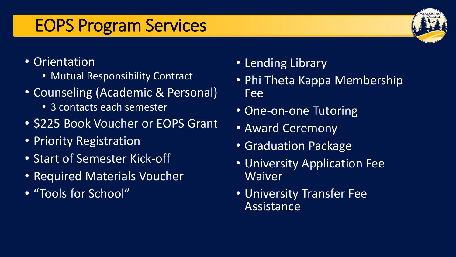### EOPS Program Services



- Orientation
	- Mutual Responsibility Contract
- Counseling (Academic & Personal)
	- 3 contacts each semester
- \$225 Book Voucher or EOPS Grant
- Priority Registration
- Start of Semester Kick-off
- Required Materials Voucher
- "Tools for School"
- Lending Library
- Phi Theta Kappa Membership Fee
- One-on-one Tutoring
- Award Ceremony
- Graduation Package
- University Application Fee Waiver
- **University Transfer Fee** Assistance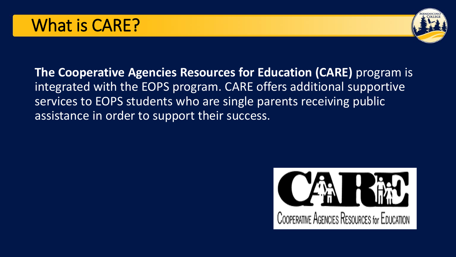

**The Cooperative Agencies Resources for Education (CARE)** program is integrated with the EOPS program. CARE offers additional supportive services to EOPS students who are single parents receiving public assistance in order to support their success.

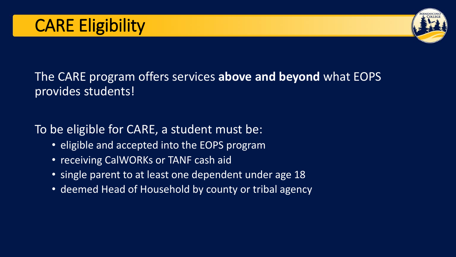

### The CARE program offers services **above and beyond** what EOPS provides students!

### To be eligible for CARE, a student must be:

- eligible and accepted into the EOPS program
- receiving CalWORKs or TANF cash aid
- single parent to at least one dependent under age 18
- deemed Head of Household by county or tribal agency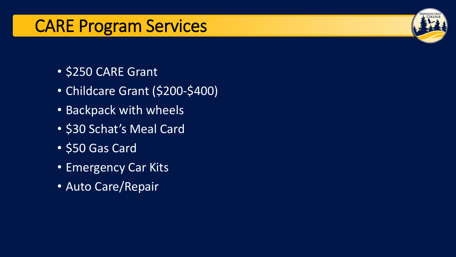### CARE Program Services

- \$250 CARE Grant
- Childcare Grant (\$200-\$400)
- Backpack with wheels
- \$30 Schat's Meal Card
- \$50 Gas Card
- Emergency Car Kits
- Auto Care/Repair

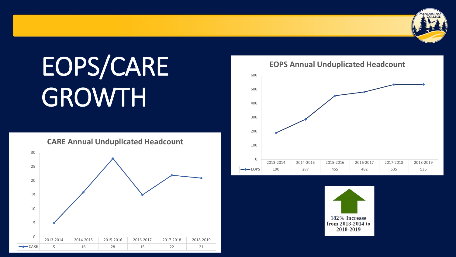# EOPS/CARE GROWTH









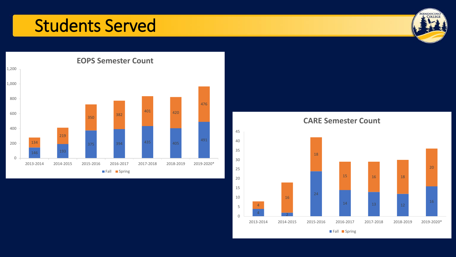### Students Served



#### **EOPS Semester Count**



#### **CARE Semester Count**

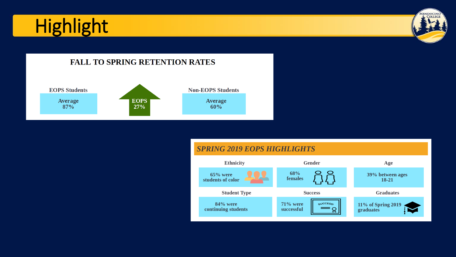



#### **FALL TO SPRING RETENTION RATES**



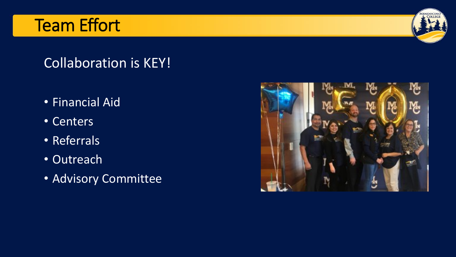### Team Effort



### Collaboration is KEY!

- Financial Aid
- Centers
- Referrals
- Outreach
- Advisory Committee

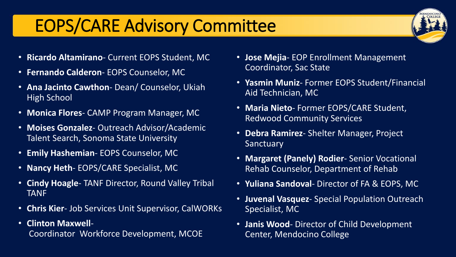## EOPS/CARE Advisory Committee



- **Ricardo Altamirano** Current EOPS Student, MC
- **Fernando Calderon** EOPS Counselor, MC
- **Ana Jacinto Cawthon** Dean/ Counselor, Ukiah High School
- **Monica Flores** CAMP Program Manager, MC
- **Moises Gonzalez** Outreach Advisor/Academic Talent Search, Sonoma State University
- **Emily Hashemian** EOPS Counselor, MC
- **Nancy Heth** EOPS/CARE Specialist, MC
- **Cindy Hoagle** TANF Director, Round Valley Tribal TANF
- **Chris Kier** Job Services Unit Supervisor, CalWORKs
- **Clinton Maxwell**-Coordinator Workforce Development, MCOE
- **Jose Mejia** EOP Enrollment Management Coordinator, Sac State
- **Yasmin Muniz** Former EOPS Student/Financial Aid Technician, MC
- **Maria Nieto** Former EOPS/CARE Student, Redwood Community Services
- **Debra Ramirez** Shelter Manager, Project **Sanctuary**
- **Margaret (Panely) Rodier** Senior Vocational Rehab Counselor, Department of Rehab
- **Yuliana Sandoval** Director of FA & EOPS, MC
- **Juvenal Vasquez** Special Population Outreach Specialist, MC
- **Janis Wood** Director of Child Development Center, Mendocino College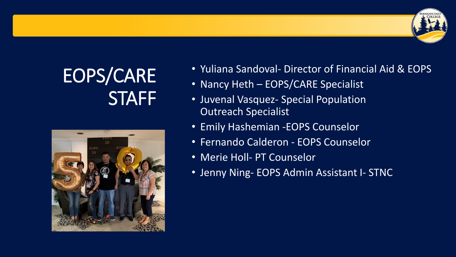# EOPS/CARE **STAFF**



- Yuliana Sandoval- Director of Financial Aid & EOPS
- Nancy Heth EOPS/CARE Specialist
- Juvenal Vasquez- Special Population Outreach Specialist
- Emily Hashemian -EOPS Counselor
- Fernando Calderon EOPS Counselor
- Merie Holl- PT Counselor
- Jenny Ning- EOPS Admin Assistant I- STNC